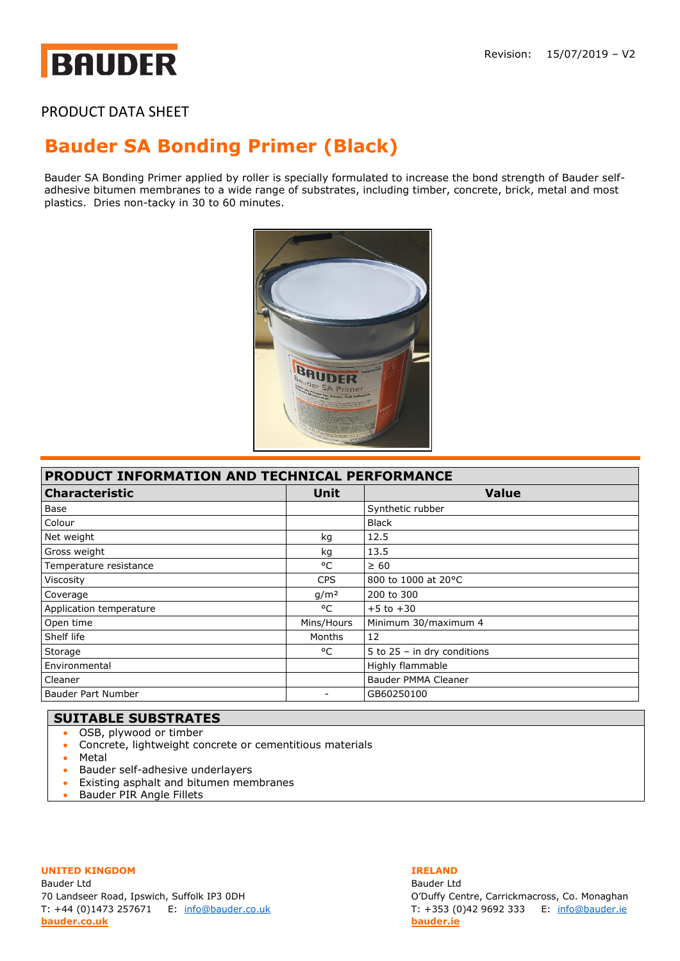# **BAUDER**

## PRODUCT DATA SHEET

## **Bauder [SA Bonding Primer](https://www.bauder.co.uk/technical-centre/products) (Black)**

Bauder SA Bonding Primer applied by roller is specially formulated to increase the bond strength of Bauder selfadhesive bitumen membranes to a wide range of substrates, including timber, concrete, brick, metal and most plastics. Dries non-tacky in 30 to 60 minutes.



| <b>PRODUCT INFORMATION AND TECHNICAL PERFORMANCE</b> |                  |                               |
|------------------------------------------------------|------------------|-------------------------------|
| <b>Characteristic</b>                                | Unit             | <b>Value</b>                  |
| Base                                                 |                  | Synthetic rubber              |
| Colour                                               |                  | <b>Black</b>                  |
| Net weight                                           | kg               | 12.5                          |
| Gross weight                                         | kg               | 13.5                          |
| Temperature resistance                               | °C               | $\geq 60$                     |
| Viscosity                                            | <b>CPS</b>       | 800 to 1000 at 20°C           |
| Coverage                                             | q/m <sup>2</sup> | 200 to 300                    |
| Application temperature                              | °C               | $+5$ to $+30$                 |
| Open time                                            | Mins/Hours       | Minimum 30/maximum 4          |
| Shelf life                                           | Months           | 12                            |
| Storage                                              | °C               | 5 to $25 - in$ dry conditions |
| Environmental                                        |                  | Highly flammable              |
| Cleaner                                              |                  | Bauder PMMA Cleaner           |
| Bauder Part Number                                   |                  | GB60250100                    |

#### **SUITABLE SUBSTRATES**

- OSB, plywood or timber
- Concrete, lightweight concrete or cementitious materials
- Metal
- Bauder self-adhesive underlayers
- Existing asphalt and bitumen membranes
- Bauder PIR Angle Fillets

#### **UNITED KINGDOM IRELAND**

Bauder Ltd Bauder Ltd 70 Landseer Road, Ipswich, Suffolk IP3 0DH O'Duffy Centre, Carrickmacross, Co. Monaghan T: +44 (0)1473 257671 E: [info@bauder.co.uk](mailto:info@bauder.co.uk) T: +353 (0)42 9692 333 E: [info@bauder.ie](mailto:info@bauder.ie) **[bauder.co.uk](http://www.bauder.co.uk/) [bauder.ie](http://www.bauder.ie/)**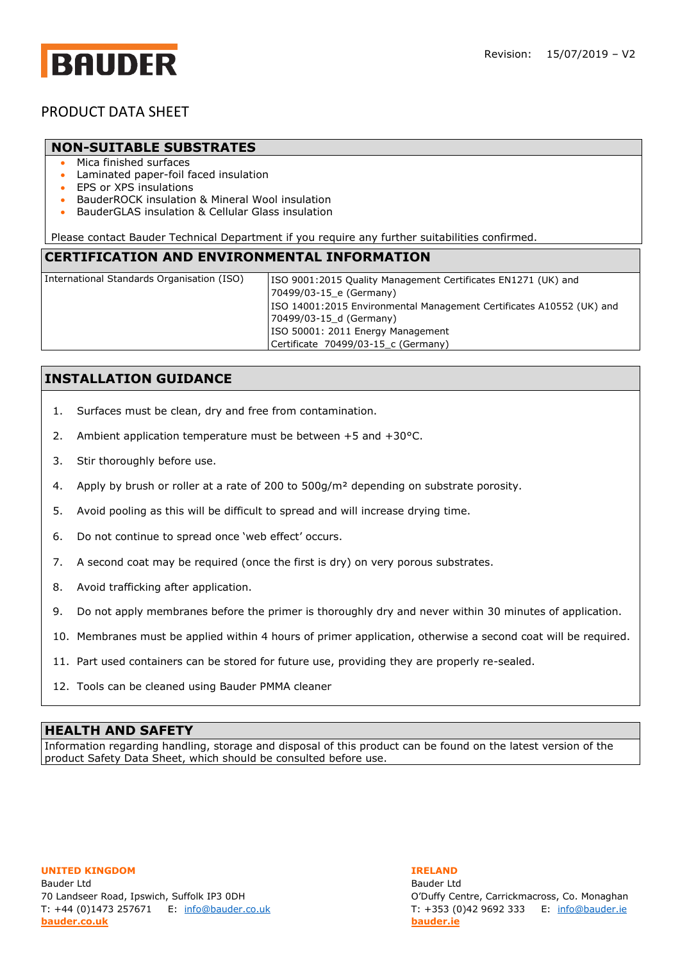## **BAUDER**

### PRODUCT DATA SHEET

#### **NON-SUITABLE SUBSTRATES**

- Mica finished surfaces
- Laminated paper-foil faced insulation
- EPS or XPS insulations
- BauderROCK insulation & Mineral Wool insulation
- BauderGLAS insulation & Cellular Glass insulation

Please contact Bauder Technical Department if you require any further suitabilities confirmed.

#### **CERTIFICATION AND ENVIRONMENTAL INFORMATION**

| International Standards Organisation (ISO) | ISO 9001:2015 Quality Management Certificates EN1271 (UK) and        |
|--------------------------------------------|----------------------------------------------------------------------|
|                                            | 70499/03-15 e (Germany)                                              |
|                                            | ISO 14001:2015 Environmental Management Certificates A10552 (UK) and |
|                                            | 70499/03-15 d (Germany)                                              |
|                                            | ISO 50001: 2011 Energy Management                                    |
|                                            | Certificate 70499/03-15 c (Germany)                                  |
|                                            |                                                                      |

### **INSTALLATION GUIDANCE**

- 1. Surfaces must be clean, dry and free from contamination.
- 2. Ambient application temperature must be between +5 and +30°C.
- 3. Stir thoroughly before use.
- 4. Apply by brush or roller at a rate of 200 to  $500g/m<sup>2</sup>$  depending on substrate porosity.
- 5. Avoid pooling as this will be difficult to spread and will increase drying time.
- 6. Do not continue to spread once 'web effect' occurs.
- 7. A second coat may be required (once the first is dry) on very porous substrates.
- 8. Avoid trafficking after application.
- 9. Do not apply membranes before the primer is thoroughly dry and never within 30 minutes of application.
- 10. Membranes must be applied within 4 hours of primer application, otherwise a second coat will be required.
- 11. Part used containers can be stored for future use, providing they are properly re-sealed.
- 12. Tools can be cleaned using Bauder PMMA cleaner

#### **HEALTH AND SAFETY**

Information regarding handling, storage and disposal of this product can be found on the latest version of the product Safety Data Sheet, which should be consulted before use.

**UNITED KINGDOM IRELAND** Bauder Ltd Bauder Ltd 70 Landseer Road, Ipswich, Suffolk IP3 0DH O'Duffy Centre, Carrickmacross, Co. Monaghan T: +44 (0)1473 257671 E: [info@bauder.co.uk](mailto:info@bauder.co.uk) T: +353 (0)42 9692 333 E: [info@bauder.ie](mailto:info@bauder.ie) **[bauder.co.uk](http://www.bauder.co.uk/) [bauder.ie](http://www.bauder.ie/)**